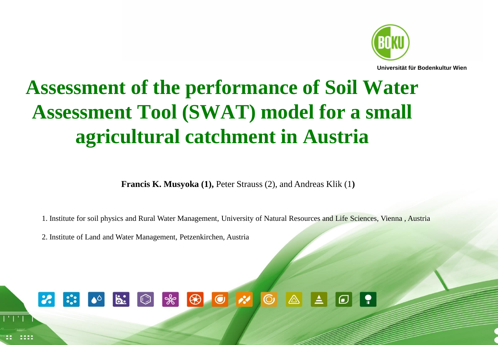

**Universität für Bodenkultur Wien**

# **Assessment of the performance of Soil Water Assessment Tool (SWAT) model for a small agricultural catchment in Austria**

**Francis K. Musyoka (1),** Peter Strauss (2), and Andreas Klik (1**)**

1. Institute for soil physics and Rural Water Management, University of Natural Resources and Life Sciences, Vienna , Austria

2. Institute of Land and Water Management, Petzenkirchen, Austria

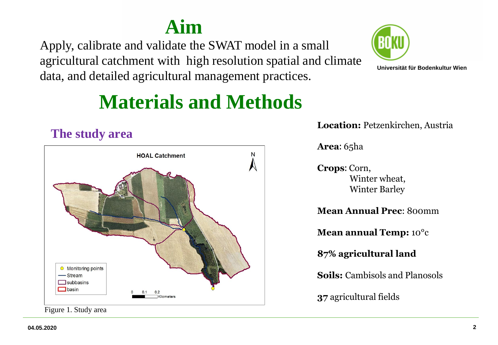## **Aim**

Apply, calibrate and validate the SWAT model in a small agricultural catchment with high resolution spatial and climate data, and detailed agricultural management practices.



**Universität für Bodenkultur Wien**

# **Materials and Methods**



Figure 1. Study area

**Location:** Petzenkirchen, Austria

**Area:** 65ha

**Crops:** Corn, Winter wheat, Winter Barley

**Mean Annual Prec**: 800mm

**Mean annual Temp:** 10°c

**87% agricultural land**

**Soils:** Cambisols and Planosols

**37** agricultural fields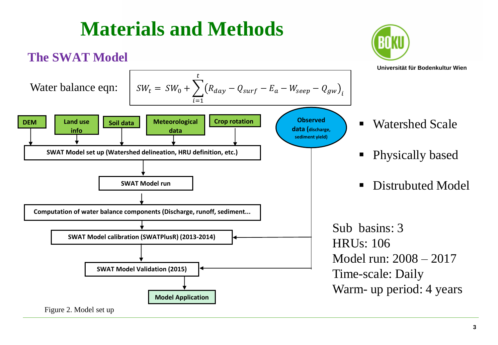

# **Materials and Methods**

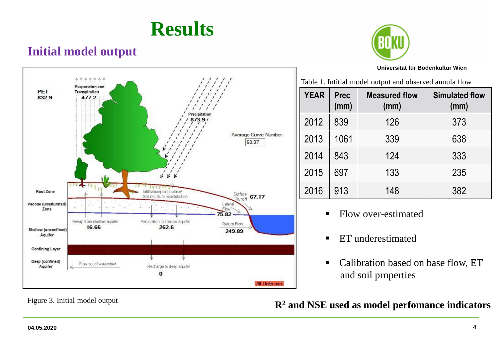## **Results**

## **Initial model output**



#### **Universität für Bodenkultur Wien**



Table 1. Intitial model output and observed annula flow

| <b>YEAR</b> | <b>Prec</b><br>(mm) | <b>Measured flow</b><br>(mm) | <b>Simulated flow</b><br>(mm) |
|-------------|---------------------|------------------------------|-------------------------------|
| 2012        | 839                 | 126                          | 373                           |
| 2013        | 1061                | 339                          | 638                           |
| 2014        | 843                 | 124                          | 333                           |
| 2015        | 697                 | 133                          | 235                           |
| 2016        | 913                 | 148                          | 382                           |

- Flow over-estimated
- **ET** underestimated
- Calibration based on base flow, ET and soil properties

## Figure 3. Initial model output **R<sup>2</sup>** and NSE used as model perfomance indicators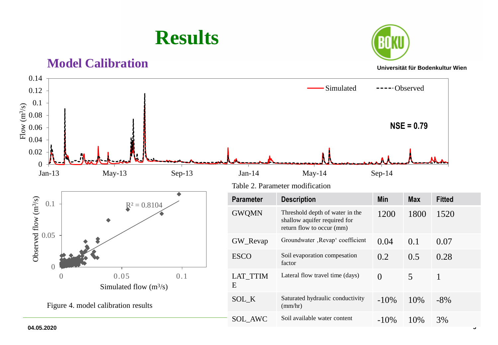

### **Model Calibration**



#### **Universität für Bodenkultur Wien**